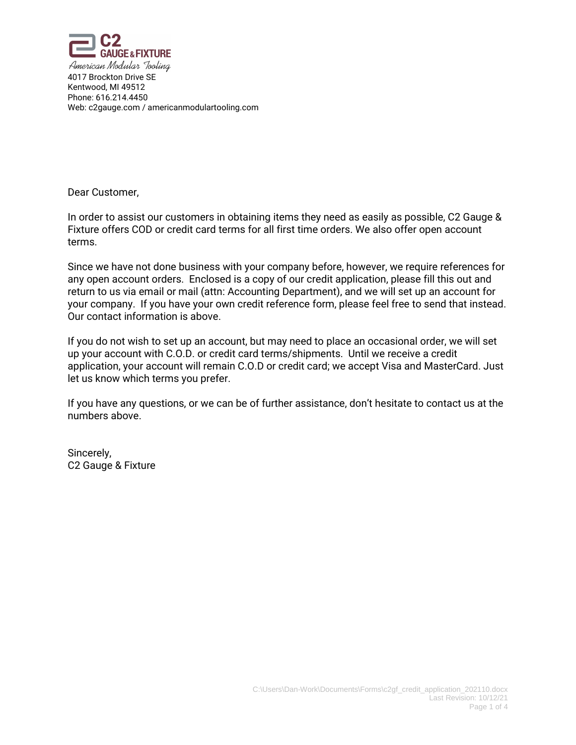

Dear Customer,

In order to assist our customers in obtaining items they need as easily as possible, C2 Gauge & Fixture offers COD or credit card terms for all first time orders. We also offer open account terms.

Since we have not done business with your company before, however, we require references for any open account orders. Enclosed is a copy of our credit application, please fill this out and return to us via email or mail (attn: Accounting Department), and we will set up an account for your company. If you have your own credit reference form, please feel free to send that instead. Our contact information is above.

If you do not wish to set up an account, but may need to place an occasional order, we will set up your account with C.O.D. or credit card terms/shipments. Until we receive a credit application, your account will remain C.O.D or credit card; we accept Visa and MasterCard. Just let us know which terms you prefer.

If you have any questions, or we can be of further assistance, don't hesitate to contact us at the numbers above.

Sincerely, C2 Gauge & Fixture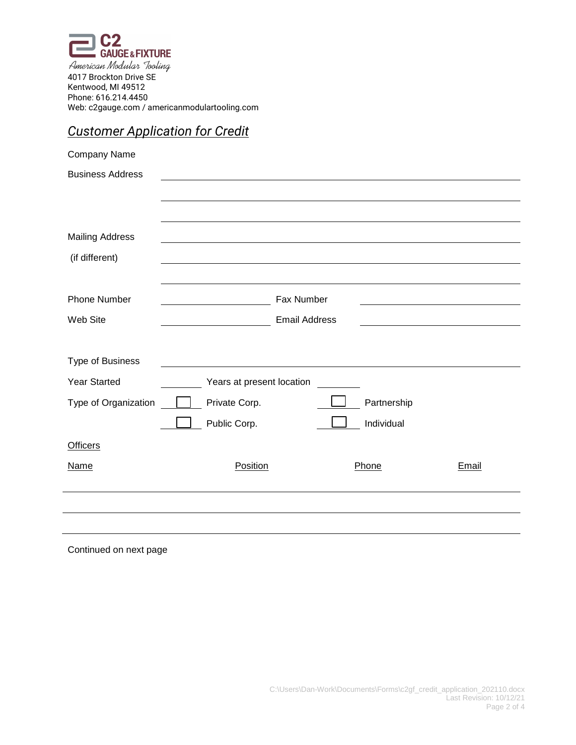

## *Customer Application for Credit*

| Company Name            |                           |                      |             |       |
|-------------------------|---------------------------|----------------------|-------------|-------|
| <b>Business Address</b> |                           |                      |             |       |
|                         |                           |                      |             |       |
|                         |                           |                      |             |       |
| <b>Mailing Address</b>  |                           |                      |             |       |
| (if different)          |                           |                      |             |       |
|                         |                           |                      |             |       |
| <b>Phone Number</b>     |                           | Fax Number           |             |       |
| Web Site                |                           | <b>Email Address</b> |             |       |
|                         |                           |                      |             |       |
| Type of Business        |                           |                      |             |       |
| <b>Year Started</b>     | Years at present location |                      |             |       |
| Type of Organization    | Private Corp.             |                      | Partnership |       |
|                         | Public Corp.              |                      | Individual  |       |
| <b>Officers</b>         |                           |                      |             |       |
| <b>Name</b>             | Position                  |                      | Phone       | Email |
|                         |                           |                      |             |       |
|                         |                           |                      |             |       |
|                         |                           |                      |             |       |

Continued on next page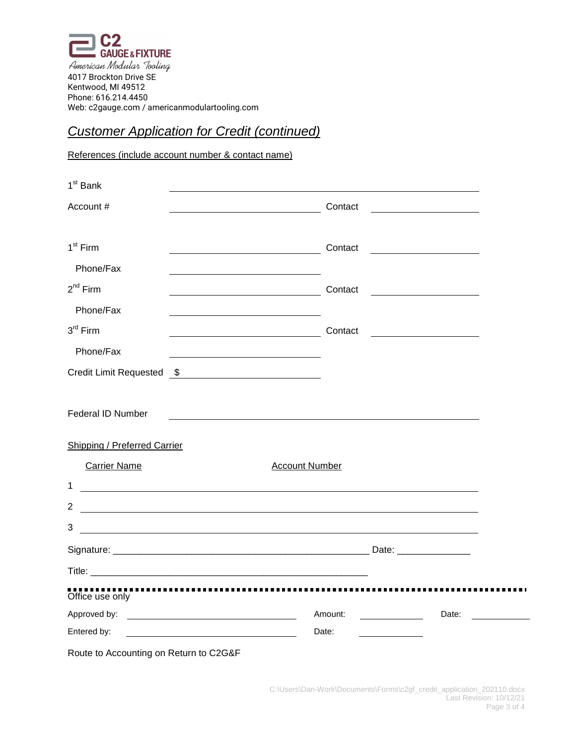

## **Customer Application for Credit (continued)**

References (include account number & contact name)

| 1 <sup>st</sup> Bank                                                                                                                 |                |                                                       |  |
|--------------------------------------------------------------------------------------------------------------------------------------|----------------|-------------------------------------------------------|--|
| Account #                                                                                                                            | Contact        |                                                       |  |
|                                                                                                                                      |                |                                                       |  |
| $1st$ Firm                                                                                                                           | Contact        |                                                       |  |
| Phone/Fax                                                                                                                            |                |                                                       |  |
| $2^{nd}$ Firm                                                                                                                        | Contact        |                                                       |  |
| Phone/Fax                                                                                                                            |                |                                                       |  |
| $3rd$ Firm                                                                                                                           | Contact        |                                                       |  |
| Phone/Fax                                                                                                                            |                |                                                       |  |
| <b>Credit Limit Requested</b><br>$\mathfrak s$<br><u> 1980 - Jan Samuel Barbara, martin di</u>                                       |                |                                                       |  |
|                                                                                                                                      |                |                                                       |  |
| <b>Federal ID Number</b>                                                                                                             |                |                                                       |  |
|                                                                                                                                      |                |                                                       |  |
| <b>Shipping / Preferred Carrier</b>                                                                                                  |                |                                                       |  |
| <b>Carrier Name</b>                                                                                                                  | Account Number |                                                       |  |
| $\mathbf 1$<br><u> 1989 - Johann Harry Harry Harry Harry Harry Harry Harry Harry Harry Harry Harry Harry Harry Harry Harry Harry</u> |                |                                                       |  |
| 2<br><u> 1989 - Andrea Andrew Maria (h. 1989).</u>                                                                                   |                |                                                       |  |
| 3<br><u> 1989 - Johann Stoff, deutscher Stoff, der Stoff, der Stoff, der Stoff, der Stoff, der Stoff, der Stoff, der S</u>           |                |                                                       |  |
|                                                                                                                                      |                |                                                       |  |
|                                                                                                                                      |                |                                                       |  |
| Office use only                                                                                                                      |                |                                                       |  |
|                                                                                                                                      | Amount:        | Date:<br><u> 1999 - Jan Barnett, fransk politiker</u> |  |
| Entered by:                                                                                                                          | Date:          |                                                       |  |
| Route to Accounting on Return to C2G&F                                                                                               |                |                                                       |  |